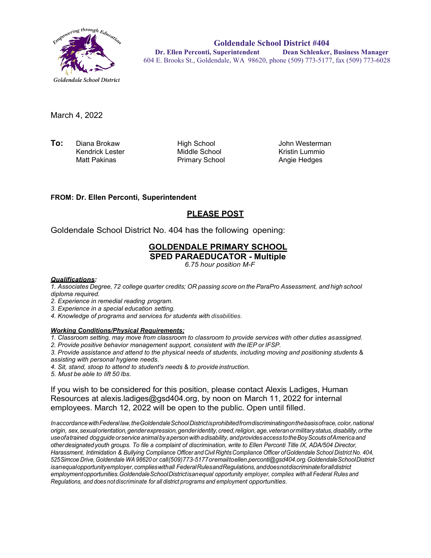

**Goldendale School District #404 Dr. Ellen Perconti, Superintendent Dean Schlenker, Business Manager** 604 E. Brooks St., Goldendale, WA 98620, phone (509) 773-5177, fax (509) 773-6028

March 4, 2022

**To:** Diana Brokaw **High School**<br>Kendrick Lester Middle School Kendrick Lester<br>Matt Pakinas

Primary School

John Westerman Kristin Lummio Angie Hedges

#### **FROM: Dr. Ellen Perconti, Superintendent**

## **PLEASE POST**

Goldendale School District No. 404 has the following opening:

# **GOLDENDALE PRIMARY SCHOOL**

**SPED PARAEDUCATOR - Multiple**

*6.75 hour position M-F*

#### *Qualifications:*

*1. Associates Degree, 72 college quarter credits; OR passing score on the ParaPro Assessment, and high school diploma required.*

- *2. Experience in remedial reading program.*
- *3. Experience in a special education setting.*
- *4. Knowledge of programs and services for students with disabilities.*

#### *Working Conditions/Physical Requirements;*

*1. Classroom setting, may move from classroom to classroom to provide services with other duties asassigned.*

*2. Provide positive behavior management support, consistent with the IEP or IFSP.*

*3. Provide assistance and attend to the physical needs of students, including moving and positioning students* & *assisting with personal hygiene needs.*

- *4. Sit, stand, stoop to attend to student's needs* & *to provide instruction.*
- *5. Must be able to lift 50 lbs.*

If you wish to be considered for this position, please contact Alexis Ladiges, Human Resources at alexis.ladiges@gsd404.org, by noon on March 11, 2022 for internal employees. March 12, 2022 will be open to the public. Open until filled.

*InaccordancewithFederal law,theGoldendaleSchoolDistrictisprohibitedfromdiscriminatingonthebasisofrace,color,national origin, sex,sexualorientation,genderexpression,genderidentity,creed,religion,age,veteranormilitarystatus,disability,orthe useofa trained dogguide orserviceanimalbya personwitha disability, andprovidesaccesstotheBoyScoutsofAmericaand otherdesignated youth groups. To file a complaint of discrimination, write to Ellen Perconti Title IX, ADA/504 Director, Harassment, Intimidation & Bullying Compliance Officer and Civil RightsCompliance Officer ofGoldendale School District No. 404, 525Simcoe Drive,Goldendale WA 98620 or call(509)773-5177oremailt[oellen.perconti@gsd404.org.Go](mailto:ellen.perconti@gsd404.org)ldendaleSchoolDistrict isanequalopportunityemployer,complieswithall FederalRulesandRegulations,anddoesnotdiscriminateforalldistrict employmentopportunities.GoldendaleSchoolDistrictisanequal opportunity employer, complies with all Federal Rules and Regulations, and does notdiscriminate for all district programs and employment opportunities.*